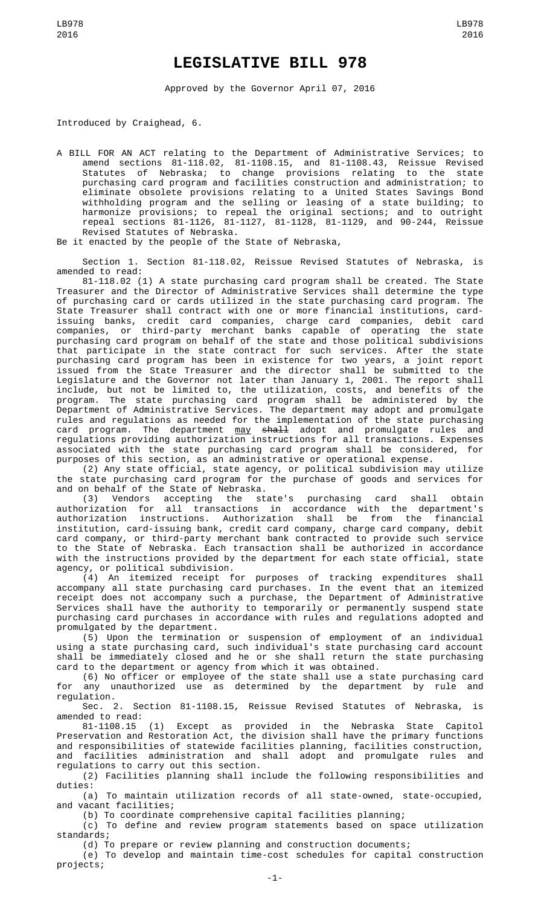## **LEGISLATIVE BILL 978**

Approved by the Governor April 07, 2016

Introduced by Craighead, 6.

A BILL FOR AN ACT relating to the Department of Administrative Services; to amend sections 81-118.02, 81-1108.15, and 81-1108.43, Reissue Revised Statutes of Nebraska; to change provisions relating to the state purchasing card program and facilities construction and administration; to eliminate obsolete provisions relating to a United States Savings Bond withholding program and the selling or leasing of a state building; to harmonize provisions; to repeal the original sections; and to outright repeal sections 81-1126, 81-1127, 81-1128, 81-1129, and 90-244, Reissue Revised Statutes of Nebraska.

Be it enacted by the people of the State of Nebraska,

Section 1. Section 81-118.02, Reissue Revised Statutes of Nebraska, is amended to read:

81-118.02 (1) A state purchasing card program shall be created. The State Treasurer and the Director of Administrative Services shall determine the type of purchasing card or cards utilized in the state purchasing card program. The State Treasurer shall contract with one or more financial institutions, cardissuing banks, credit card companies, charge card companies, debit card companies, or third-party merchant banks capable of operating the state purchasing card program on behalf of the state and those political subdivisions that participate in the state contract for such services. After the state purchasing card program has been in existence for two years, a joint report issued from the State Treasurer and the director shall be submitted to the Legislature and the Governor not later than January 1, 2001. The report shall include, but not be limited to, the utilization, costs, and benefits of the program. The state purchasing card program shall be administered by the Department of Administrative Services. The department may adopt and promulgate rules and regulations as needed for the implementation of the state purchasing card program. The department <u>may</u> <del>shall</del> adopt and promulgate rules and regulations providing authorization instructions for all transactions. Expenses associated with the state purchasing card program shall be considered, for purposes of this section, as an administrative or operational expense.

(2) Any state official, state agency, or political subdivision may utilize the state purchasing card program for the purchase of goods and services for and on behalf of the State of Nebraska.

(3) Vendors accepting the state's purchasing card shall obtain authorization for all transactions in accordance with the department's authorization instructions. Authorization shall be from the financial institution, card-issuing bank, credit card company, charge card company, debit card company, or third-party merchant bank contracted to provide such service to the State of Nebraska. Each transaction shall be authorized in accordance with the instructions provided by the department for each state official, state agency, or political subdivision.

(4) An itemized receipt for purposes of tracking expenditures shall accompany all state purchasing card purchases. In the event that an itemized receipt does not accompany such a purchase, the Department of Administrative Services shall have the authority to temporarily or permanently suspend state purchasing card purchases in accordance with rules and regulations adopted and promulgated by the department.

(5) Upon the termination or suspension of employment of an individual using a state purchasing card, such individual's state purchasing card account shall be immediately closed and he or she shall return the state purchasing card to the department or agency from which it was obtained.

(6) No officer or employee of the state shall use a state purchasing card for any unauthorized use as determined by the department by rule and regulation.

Sec. 2. Section 81-1108.15, Reissue Revised Statutes of Nebraska, is amended to read:

81-1108.15 (1) Except as provided in the Nebraska State Capitol Preservation and Restoration Act, the division shall have the primary functions and responsibilities of statewide facilities planning, facilities construction, and facilities administration and shall adopt and promulgate rules and regulations to carry out this section.

(2) Facilities planning shall include the following responsibilities and duties:

(a) To maintain utilization records of all state-owned, state-occupied, and vacant facilities;

(b) To coordinate comprehensive capital facilities planning;

(c) To define and review program statements based on space utilization standards;

(d) To prepare or review planning and construction documents;

(e) To develop and maintain time-cost schedules for capital construction projects;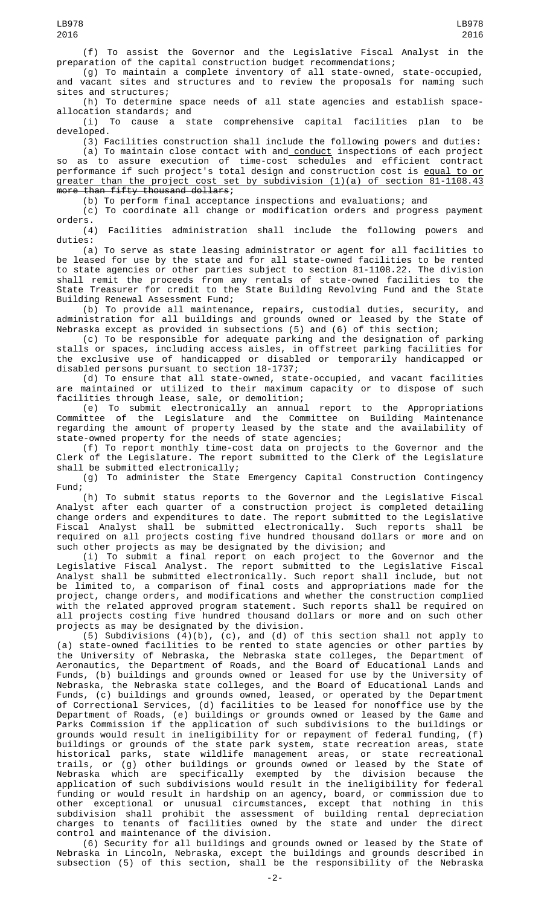(g) To maintain a complete inventory of all state-owned, state-occupied, and vacant sites and structures and to review the proposals for naming such sites and structures;

(h) To determine space needs of all state agencies and establish space-

allocation standards; and<br>i) To cause a s To cause a state comprehensive capital facilities plan to be developed.

(3) Facilities construction shall include the following powers and duties: (a) To maintain close contact with and conduct inspections of each project

so as to assure execution of time-cost schedules and efficient contract performance if such project's total design and construction cost is equal to or greater than the project cost set by subdivision  $(1)(a)$  of section 81-1108.43 more than fifty thousand dollars;

(b) To perform final acceptance inspections and evaluations; and

(c) To coordinate all change or modification orders and progress payment orders.

(4) Facilities administration shall include the following powers and duties:

(a) To serve as state leasing administrator or agent for all facilities to be leased for use by the state and for all state-owned facilities to be rented to state agencies or other parties subject to section 81-1108.22. The division shall remit the proceeds from any rentals of state-owned facilities to the State Treasurer for credit to the State Building Revolving Fund and the State Building Renewal Assessment Fund;

(b) To provide all maintenance, repairs, custodial duties, security, and administration for all buildings and grounds owned or leased by the State of Nebraska except as provided in subsections (5) and (6) of this section;

(c) To be responsible for adequate parking and the designation of parking stalls or spaces, including access aisles, in offstreet parking facilities for the exclusive use of handicapped or disabled or temporarily handicapped or disabled persons pursuant to section 18-1737;

(d) To ensure that all state-owned, state-occupied, and vacant facilities are maintained or utilized to their maximum capacity or to dispose of such facilities through lease, sale, or demolition;

(e) To submit electronically an annual report to the Appropriations Committee of the Legislature and the Committee on Building Maintenance regarding the amount of property leased by the state and the availability of state-owned property for the needs of state agencies;

(f) To report monthly time-cost data on projects to the Governor and the Clerk of the Legislature. The report submitted to the Clerk of the Legislature shall be submitted electronically;

(g) To administer the State Emergency Capital Construction Contingency Fund;

(h) To submit status reports to the Governor and the Legislative Fiscal Analyst after each quarter of a construction project is completed detailing change orders and expenditures to date. The report submitted to the Legislative Fiscal Analyst shall be submitted electronically. Such reports shall be required on all projects costing five hundred thousand dollars or more and on such other projects as may be designated by the division; and

(i) To submit a final report on each project to the Governor and the Legislative Fiscal Analyst. The report submitted to the Legislative Fiscal Analyst shall be submitted electronically. Such report shall include, but not be limited to, a comparison of final costs and appropriations made for the project, change orders, and modifications and whether the construction complied with the related approved program statement. Such reports shall be required on all projects costing five hundred thousand dollars or more and on such other projects as may be designated by the division.

(5) Subdivisions (4)(b), (c), and (d) of this section shall not apply to (a) state-owned facilities to be rented to state agencies or other parties by the University of Nebraska, the Nebraska state colleges, the Department of Aeronautics, the Department of Roads, and the Board of Educational Lands and Funds, (b) buildings and grounds owned or leased for use by the University of Nebraska, the Nebraska state colleges, and the Board of Educational Lands and Funds, (c) buildings and grounds owned, leased, or operated by the Department of Correctional Services, (d) facilities to be leased for nonoffice use by the Department of Roads, (e) buildings or grounds owned or leased by the Game and Parks Commission if the application of such subdivisions to the buildings or grounds would result in ineligibility for or repayment of federal funding, (f) buildings or grounds of the state park system, state recreation areas, state historical parks, state wildlife management areas, or state recreational trails, or (g) other buildings or grounds owned or leased by the State of Nebraska which are specifically exempted by the division because the application of such subdivisions would result in the ineligibility for federal funding or would result in hardship on an agency, board, or commission due to other exceptional or unusual circumstances, except that nothing in this subdivision shall prohibit the assessment of building rental depreciation charges to tenants of facilities owned by the state and under the direct control and maintenance of the division.

(6) Security for all buildings and grounds owned or leased by the State of Nebraska in Lincoln, Nebraska, except the buildings and grounds described in subsection (5) of this section, shall be the responsibility of the Nebraska